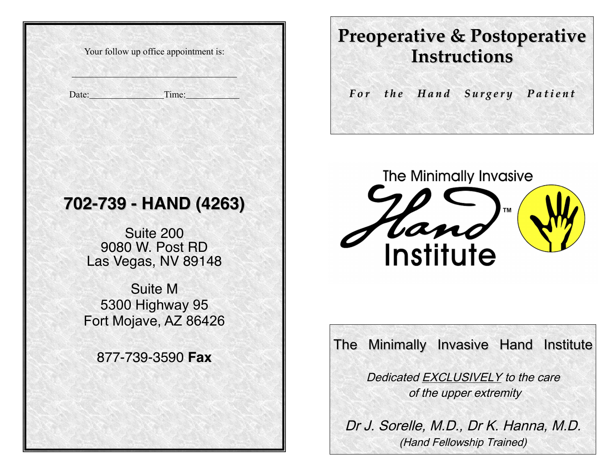Your follow up office appointment is:

Date: Time:

 $\overline{\phantom{a}}$ 

# **702-739 - HAND (4263)**

Suite 200 9080 W. Post RD Las Vegas, NV 89148

Suite M 5300 Highway 95 Fort Mojave, AZ 86426

877-739-3590 **Fax**

Copyright Group and Year

# **Preoperative & Postoperative Instructions**

For the Hand Surgery Patient



The Minimally Invasive Hand Institute

Dedicated EXCLUSIVELY to the care of the upper extremity

Dr J. Sorelle, M.D., Dr K. Hanna, M.D. (Hand Fellowship Trained)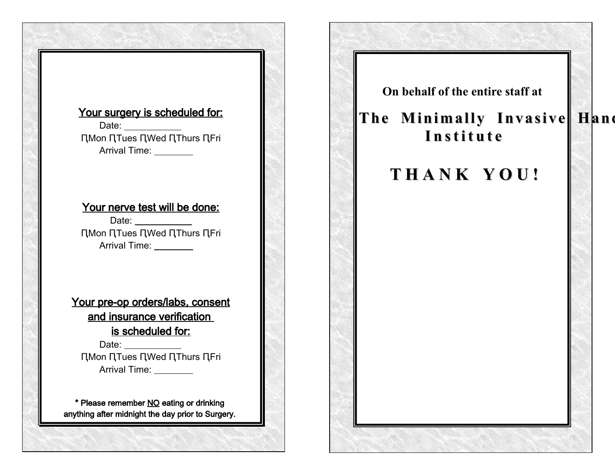## Your surgery is scheduled for:

Date: ԤMon ԤTues ԤWed ԤThurs ԤFri Arrival Time: \_\_\_\_\_\_\_\_

## Your nerve test will be done:

Date: **Date:** ԤMon ԤTues ԤWed ԤThurs ԤFri Arrival Time:

Your pre-op orders/labs, consent and insurance verification is scheduled for:

Date: ԤMon ԤTues ԤWed ԤThurs ԤFri Arrival Time: \_\_\_\_\_\_\_\_

\* Please remember NO eating or drinking anything after midnight the day prior to Surgery.

Bring your usual medications with you

**On behalf of the entire staff at**

# **The Minimally Invasive Hand I n s t i t u t e**

# **T H A N K Y O U !**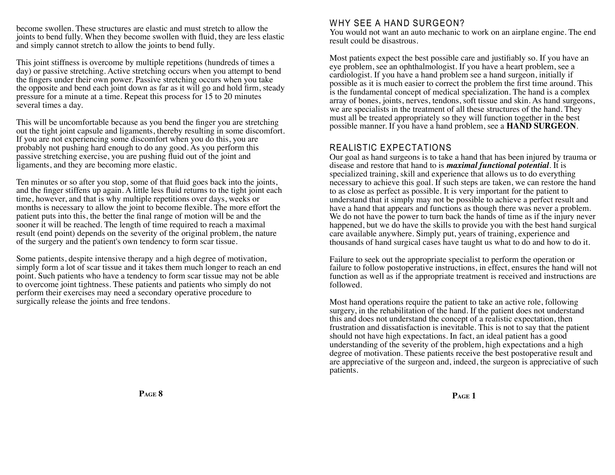become swollen. These structures are elastic and must stretch to allow the joints to bend fully. When they become swollen with fuid, they are less elastic and simply cannot stretch to allow the joints to bend fully.

This joint stiffness is overcome by multiple repetitions (hundreds of times a day) or passive stretching. Active stretching occurs when you attempt to bend the fngers under their own power. Passive stretching occurs when you take the opposite and bend each joint down as far as it will go and hold frm, steady pressure for a minute at a time. Repeat this process for 15 to 20 minutes several times a day.

This will be uncomfortable because as you bend the fnger you are stretching out the tight joint capsule and ligaments, thereby resulting in some discomfort. If you are not experiencing some discomfort when you do this, you are probably not pushing hard enough to do any good. As you perform this passive stretching exercise, you are pushing fuid out of the joint and ligaments, and they are becoming more elastic.

Ten minutes or so after you stop, some of that fuid goes back into the joints, and the fnger stiffens up again. A little less fuid returns to the tight joint each time, however, and that is why multiple repetitions over days, weeks or months is necessary to allow the joint to become fexible. The more effort the patient puts into this, the better the fnal range of motion will be and the sooner it will be reached. The length of time required to reach a maximal result (end point) depends on the severity of the original problem, the nature of the surgery and the patient's own tendency to form scar tissue.

Some patients, despite intensive therapy and a high degree of motivation, simply form a lot of scar tissue and it takes them much longer to reach an end point. Such patients who have a tendency to form scar tissue may not be able to overcome joint tightness. These patients and patients who simply do not perform their exercises may need a secondary operative procedure to surgically release the joints and free tendons.

## WHY SEE A HAND SURGEON?

You would not want an auto mechanic to work on an airplane engine. The end result could be disastrous.

Most patients expect the best possible care and justifably so. If you have an eye problem, see an ophthalmologist. If you have a heart problem, see a cardiologist. If you have a hand problem see a hand surgeon, initially if possible as it is much easier to correct the problem the frst time around. This is the fundamental concept of medical specialization. The hand is a complex array of bones, joints, nerves, tendons, soft tissue and skin. As hand surgeons, we are specialists in the treatment of all these structures of the hand. They must all be treated appropriately so they will function together in the best possible manner. If you have a hand problem, see a **HAND SURGEON**.

## REALISTIC EXPECTATIONS

Our goal as hand surgeons is to take a hand that has been injured by trauma or disease and restore that hand to is *maximal functional potential*. It is specialized training, skill and experience that allows us to do everything necessary to achieve this goal. If such steps are taken, we can restore the hand to as close as perfect as possible. It is very important for the patient to understand that it simply may not be possible to achieve a perfect result and have a hand that appears and functions as though there was never a problem. We do not have the power to turn back the hands of time as if the injury never happened, but we do have the skills to provide you with the best hand surgical care available anywhere. Simply put, years of training, experience and thousands of hand surgical cases have taught us what to do and how to do it.

Failure to seek out the appropriate specialist to perform the operation or failure to follow postoperative instructions, in effect, ensures the hand will not function as well as if the appropriate treatment is received and instructions are followed.

Most hand operations require the patient to take an active role, following surgery, in the rehabilitation of the hand. If the patient does not understand this and does not understand the concept of a realistic expectation, then frustration and dissatisfaction is inevitable. This is not to say that the patient should not have high expectations. In fact, an ideal patient has a good understanding of the severity of the problem, high expectations and a high degree of motivation. These patients receive the best postoperative result and are appreciative of the surgeon and, indeed, the surgeon is appreciative of such patients.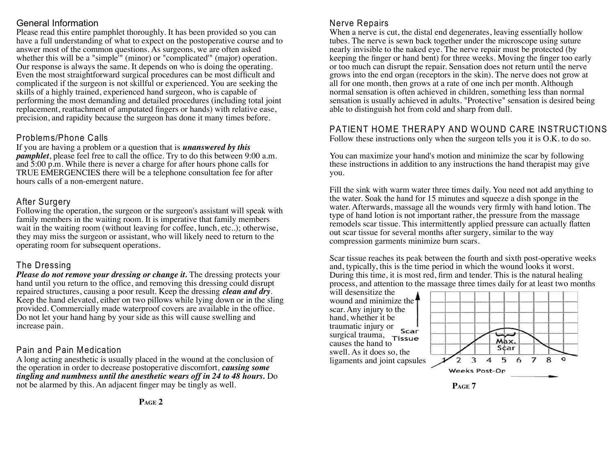## General Information

Please read this entire pamphlet thoroughly. It has been provided so you can have a full understanding of what to expect on the postoperative course and to answer most of the common questions. As surgeons, we are often asked whether this will be a "simple<sup>"</sup> (minor) or "complicated" (major) operation. Our response is always the same. It depends on who is doing the operating. Even the most straightforward surgical procedures can be most diffcult and complicated if the surgeon is not skillful or experienced. You are seeking the skills of a highly trained, experienced hand surgeon, who is capable of performing the most demanding and detailed procedures (including total joint replacement, reattachment of amputated fngers or hands) with relative ease, precision, and rapidity because the surgeon has done it many times before.

## Problems/Phone Calls

If you are having a problem or a question that is *unanswered by this pamphlet*, please feel free to call the office. Try to do this between 9:00 a.m. and 5:00 p.m. While there is never a charge for after hours phone calls for TRUE EMERGENCIES there will be a telephone consultation fee for after hours calls of a non-emergent nature.

## After Surgery

Following the operation, the surgeon or the surgeon's assistant will speak with family members in the waiting room. It is imperative that family members wait in the waiting room (without leaving for coffee, lunch, etc..); otherwise, they may miss the surgeon or assistant, who will likely need to return to the operating room for subsequent operations.

## The Dressing

*Please do not remove your dressing or change it.* The dressing protects your hand until you return to the offce, and removing this dressing could disrupt repaired structures, causing a poor result. Keep the dressing *clean and dry*. Keep the hand elevated, either on two pillows while lying down or in the sling provided. Commercially made waterproof covers are available in the offce. Do not let your hand hang by your side as this will cause swelling and increase pain.

## Pain and Pain Medication

A long acting anesthetic is usually placed in the wound at the conclusion of the operation in order to decrease postoperative discomfort, *causing some tingling and numbness until the anesthetic wears off in 24 to 48 hours.* Do not be alarmed by this. An adjacent fnger may be tingly as well.

## Nerve Repairs

When a nerve is cut, the distal end degenerates, leaving essentially hollow tubes. The nerve is sewn back together under the microscope using suture nearly invisible to the naked eye. The nerve repair must be protected (by keeping the fnger or hand bent) for three weeks. Moving the fnger too early or too much can disrupt the repair. Sensation does not return until the nerve grows into the end organ (receptors in the skin). The nerve does not grow at all for one month, then grows at a rate of one inch per month. Although normal sensation is often achieved in children, something less than normal sensation is usually achieved in adults. "Protective" sensation is desired being able to distinguish hot from cold and sharp from dull.

## PATIENT HOME THERAPY AND WOUND CARE INSTRUCTIONS

Follow these instructions only when the surgeon tells you it is O.K. to do so.

You can maximize your hand's motion and minimize the scar by following these instructions in addition to any instructions the hand therapist may give you.

Fill the sink with warm water three times daily. You need not add anything to the water. Soak the hand for 15 minutes and squeeze a dish sponge in the water. Afterwards, massage all the wounds very frmly with hand lotion. The type of hand lotion is not important rather, the pressure from the massage remodels scar tissue. This intermittently applied pressure can actually fatten out scar tissue for several months after surgery, similar to the way compression garments minimize burn scars.

Scar tissue reaches its peak between the fourth and sixth post-operative weeks and, typically, this is the time period in which the wound looks it worst. During this time, it is most red, frm and tender. This is the natural healing process, and attention to the massage three times daily for at least two months

will desensitize the wound and minimize the<sup>1</sup> scar. Any injury to the hand, whether it be traumatic injury or Scar surgical trauma, Tissue causes the hand to swell. As it does so, the ligaments and joint capsules



**PAGE 7**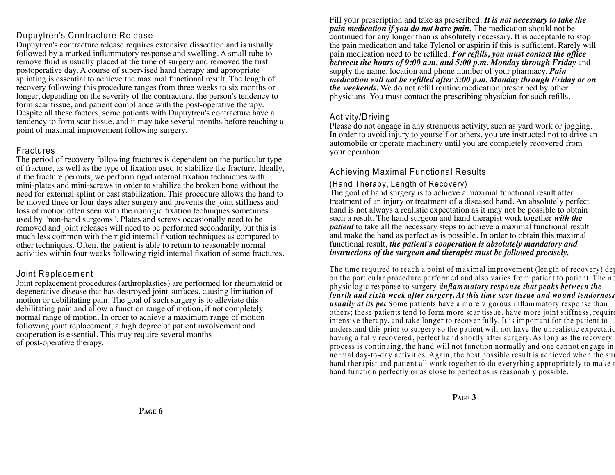## Dupuytren's Contracture Release

Dupuytren's contracture release requires extensive dissection and is usually followed by a marked infammatory response and swelling. A small tube to remove fuid is usually placed at the time of surgery and removed the frst postoperative day. A course of supervised hand therapy and appropriate splinting is essential to achieve the maximal functional result. The length of recovery following this procedure ranges from three weeks to six months or longer, depending on the severity of the contracture, the person's tendency to form scar tissue, and patient compliance with the post-operative therapy. Despite all these factors, some patients with Dupuytren's contracture have a tendency to form scar tissue, and it may take several months before reaching a point of maximal improvement following surgery.

## Fractures

The period of recovery following fractures is dependent on the particular type of fracture, as well as the type of fxation used to stabilize the fracture. Ideally, if the fracture permits, we perform rigid internal fxation techniques with mini-plates and mini-screws in order to stabilize the broken bone without the need for external splint or cast stabilization. This procedure allows the hand to be moved three or four days after surgery and prevents the joint stiffness and loss of motion often seen with the nonrigid fxation techniques sometimes used by "non-hand surgeons". Plates and screws occasionally need to be removed and joint releases will need to be performed secondarily, but this is much less common with the rigid internal fxation techniques as compared to other techniques. Often, the patient is able to return to reasonably normal activities within four weeks following rigid internal fxation of some fractures.

## Joint Replacement

Joint replacement procedures (arthroplasties) are performed for rheumatoid or degenerative disease that has destroyed joint surfaces, causing limitation of motion or debilitating pain. The goal of such surgery is to alleviate this debilitating pain and allow a function range of motion, if not completely normal range of motion. In order to achieve a maximum range of motion following joint replacement, a high degree of patient involvement and cooperation is essential. This may require several months of post-operative therapy.

Fill your prescription and take as prescribed. *It is not necessary to take the pain medication if you do not have pain.* The medication should not be continued for any longer than is absolutely necessary. It is acceptable to stop the pain medication and take Tylenol or aspirin if this is suffcient. Rarely will pain medication need to be reflled. *For reflls, you must contact the offce between the hours of 9:00 a.m. and 5:00 p.m. Monday through Friday* and supply the name, location and phone number of your pharmacy. *Pain medication will not be reflled after 5:00 p.m. Monday through Friday or on the weekends.* We do not refll routine medication prescribed by other physicians. You must contact the prescribing physician for such reflls.

## Activity/Driving

Please do not engage in any strenuous activity, such as yard work or jogging. In order to avoid injury to yourself or others, you are instructed not to drive an automobile or operate machinery until you are completely recovered from your operation.

## Achieving Maximal Functional Results

## (Hand Therapy, Length of Recovery)

The goal of hand surgery is to achieve a maximal functional result after treatment of an injury or treatment of a diseased hand. An absolutely perfect hand is not always a realistic expectation as it may not be possible to obtain such a result. The hand surgeon and hand therapist work together *with the patient* to take all the necessary steps to achieve a maximal functional result and make the hand as perfect as is possible. In order to obtain this maximal functional result, *the patient's cooperation is absolutely mandatory and instructions of the surgeon and therapist must be followed precisely.* 

The time required to reach a point of maximal improvement (length of recovery) dep on the particular procedure performed and also varies from patient to patient. The no physiologic response to surgery *inflammatory response that peaks between the fourth and sixth week after surgery. At this time scar tissue and wound tenderness is usually at its pea* Some patients have a more vigorous inflammatory response than others; these patients tend to form more scar tissue, have more joint stiffness, require intensive therapy, and take longer to recover fully. It is important for the patient to understand this prior to surgery so the patient will not have the unrealistic expectation having a fully recovered, perfect hand shortly after surgery. As long as the recovery process is continuing, the hand will not function normally and one cannot engage in normal day-to-day activities. Again, the best possible result is achieved when the surhand therapist and patient all work together to do everything appropriately to make the hand function perfectly or as close to perfect as is reasonably possible.